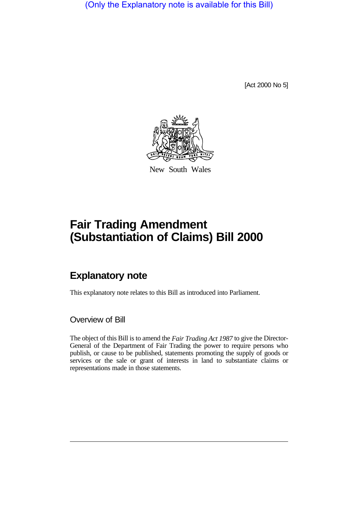(Only the Explanatory note is available for this Bill)

[Act 2000 No 5]



New South Wales

## **Fair Trading Amendment (Substantiation of Claims) Bill 2000**

## **Explanatory note**

This explanatory note relates to this Bill as introduced into Parliament.

Overview of Bill

The object of this Bill is to amend the *Fair Trading Act 1987* to give the Director-General of the Department of Fair Trading the power to require persons who publish, or cause to be published, statements promoting the supply of goods or services or the sale or grant of interests in land to substantiate claims or representations made in those statements.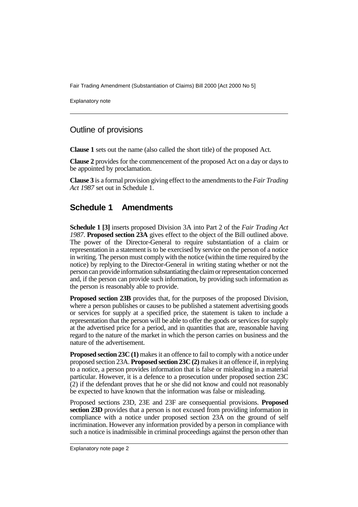Fair Trading Amendment (Substantiation of Claims) Bill 2000 [Act 2000 No 5]

Explanatory note

## Outline of provisions

**Clause 1** sets out the name (also called the short title) of the proposed Act.

**Clause 2** provides for the commencement of the proposed Act on a day or days to be appointed by proclamation.

**Clause 3** is a formal provision giving effect to the amendments to the *Fair Trading Act 1987* set out in Schedule 1.

## **Schedule 1 Amendments**

**Schedule 1 [3]** inserts proposed Division 3A into Part 2 of the *Fair Trading Act 1987*. **Proposed section 23A** gives effect to the object of the Bill outlined above. The power of the Director-General to require substantiation of a claim or representation in a statement is to be exercised by service on the person of a notice in writing. The person must comply with the notice (within the time required by the notice) by replying to the Director-General in writing stating whether or not the person can provide information substantiating the claim or representation concerned and, if the person can provide such information, by providing such information as the person is reasonably able to provide.

**Proposed section 23B** provides that, for the purposes of the proposed Division, where a person publishes or causes to be published a statement advertising goods or services for supply at a specified price, the statement is taken to include a representation that the person will be able to offer the goods or services for supply at the advertised price for a period, and in quantities that are, reasonable having regard to the nature of the market in which the person carries on business and the nature of the advertisement.

**Proposed section 23C (1)** makes it an offence to fail to comply with a notice under proposed section 23A. **Proposed section 23C (2)** makes it an offence if, in replying to a notice, a person provides information that is false or misleading in a material particular. However, it is a defence to a prosecution under proposed section 23C (2) if the defendant proves that he or she did not know and could not reasonably be expected to have known that the information was false or misleading.

Proposed sections 23D, 23E and 23F are consequential provisions. **Proposed section 23D** provides that a person is not excused from providing information in compliance with a notice under proposed section 23A on the ground of self incrimination. However any information provided by a person in compliance with such a notice is inadmissible in criminal proceedings against the person other than